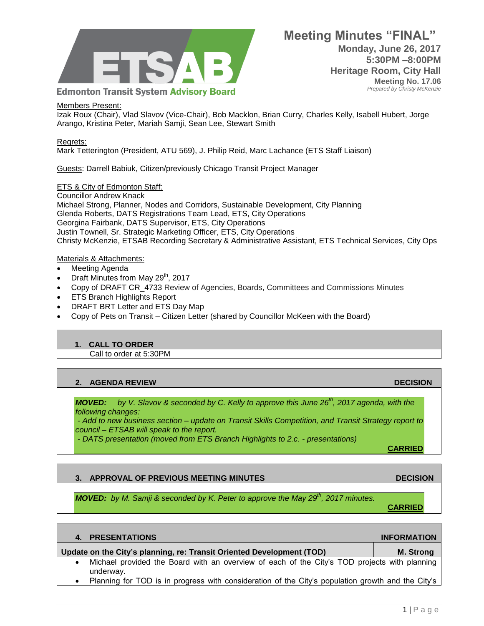

**Meeting Minutes "FINAL" Monday, June 26, 2017 5:30PM –8:00PM Heritage Room, City Hall Meeting No. 17.06**  *Prepared by Christy McKenzie*

### Members Present:

Izak Roux (Chair), Vlad Slavov (Vice-Chair), Bob Macklon, Brian Curry, Charles Kelly, Isabell Hubert, Jorge Arango, Kristina Peter, Mariah Samji, Sean Lee, Stewart Smith

### Regrets:

Mark Tetterington (President, ATU 569), J. Philip Reid, Marc Lachance (ETS Staff Liaison)

Guests: Darrell Babiuk, Citizen/previously Chicago Transit Project Manager

## **ETS & City of Edmonton Staff:**

Councillor Andrew Knack Michael Strong, Planner, Nodes and Corridors, Sustainable Development, City Planning Glenda Roberts, DATS Registrations Team Lead, ETS, City Operations Georgina Fairbank, DATS Supervisor, ETS, City Operations Justin Townell, Sr. Strategic Marketing Officer, ETS, City Operations Christy McKenzie, ETSAB Recording Secretary & Administrative Assistant, ETS Technical Services, City Ops

### Materials & Attachments:

- Meeting Agenda
- $\bullet$  Draft Minutes from May 29<sup>th</sup>, 2017
- Copy of DRAFT CR\_4733 Review of Agencies, Boards, Committees and Commissions Minutes
- ETS Branch Highlights Report
- DRAFT BRT Letter and ETS Day Map
- Copy of Pets on Transit Citizen Letter (shared by Councillor McKeen with the Board)

## **1. CALL TO ORDER**

Call to order at 5:30PM

# **2. AGENDA REVIEW DECISION**

*MOVED: by V. Slavov & seconded by C. Kelly to approve this June 26th, 2017 agenda, with the following changes:* 

*- Add to new business section – update on Transit Skills Competition, and Transit Strategy report to council – ETSAB will speak to the report.*

*- DATS presentation (moved from ETS Branch Highlights to 2.c. - presentations)*

**CARRIED**

**CARRIED**

## **3. APPROVAL OF PREVIOUS MEETING MINUTES DECISION**

*MOVED: by M. Samji & seconded by K. Peter to approve the May 29th, 2017 minutes.*

# **4. PRESENTATIONS INFORMATION Update on the City's planning, re: Transit Oriented Development (TOD) M. Strong** Michael provided the Board with an overview of each of the City's TOD projects with planning underway.

Planning for TOD is in progress with consideration of the City's population growth and the City's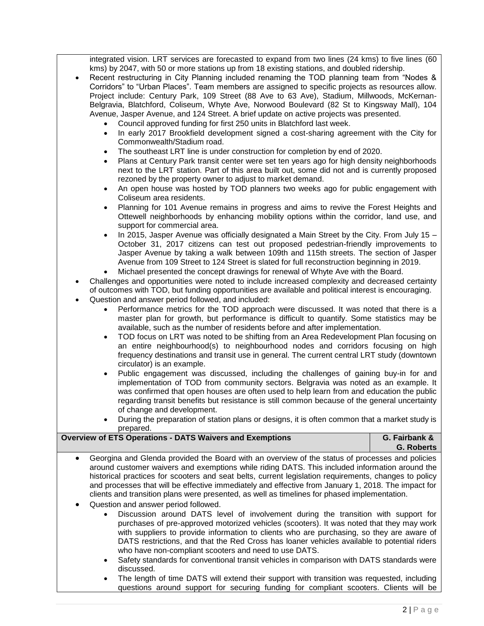integrated vision. LRT services are forecasted to expand from two lines (24 kms) to five lines (60 kms) by 2047, with 50 or more stations up from 18 existing stations, and doubled ridership.

- Recent restructuring in City Planning included renaming the TOD planning team from "Nodes & Corridors" to "Urban Places". Team members are assigned to specific projects as resources allow. Project include: Century Park, 109 Street (88 Ave to 63 Ave), Stadium, Millwoods, McKernan-Belgravia, Blatchford, Coliseum, Whyte Ave, Norwood Boulevard (82 St to Kingsway Mall), 104 Avenue, Jasper Avenue, and 124 Street. A brief update on active projects was presented.
	- Council approved funding for first 250 units in Blatchford last week.
	- In early 2017 Brookfield development signed a cost-sharing agreement with the City for Commonwealth/Stadium road.
	- The southeast LRT line is under construction for completion by end of 2020.
	- Plans at Century Park transit center were set ten years ago for high density neighborhoods next to the LRT station. Part of this area built out, some did not and is currently proposed rezoned by the property owner to adjust to market demand.
	- An open house was hosted by TOD planners two weeks ago for public engagement with Coliseum area residents.
	- Planning for 101 Avenue remains in progress and aims to revive the Forest Heights and Ottewell neighborhoods by enhancing mobility options within the corridor, land use, and support for commercial area.
	- In 2015, Jasper Avenue was officially designated a Main Street by the City. From July 15 October 31, 2017 citizens can test out proposed pedestrian-friendly improvements to Jasper Avenue by taking a walk between 109th and 115th streets. The section of Jasper Avenue from 109 Street to 124 Street is slated for full reconstruction beginning in 2019.
	- Michael presented the concept drawings for renewal of Whyte Ave with the Board.

 Challenges and opportunities were noted to include increased complexity and decreased certainty of outcomes with TOD, but funding opportunities are available and political interest is encouraging.

- Question and answer period followed, and included:
	- Performance metrics for the TOD approach were discussed. It was noted that there is a master plan for growth, but performance is difficult to quantify. Some statistics may be available, such as the number of residents before and after implementation.
	- TOD focus on LRT was noted to be shifting from an Area Redevelopment Plan focusing on an entire neighbourhood(s) to neighbourhood nodes and corridors focusing on high frequency destinations and transit use in general. The current central LRT study (downtown circulator) is an example.
	- Public engagement was discussed, including the challenges of gaining buy-in for and implementation of TOD from community sectors. Belgravia was noted as an example. It was confirmed that open houses are often used to help learn from and education the public regarding transit benefits but resistance is still common because of the general uncertainty of change and development.
	- During the preparation of station plans or designs, it is often common that a market study is prepared.

| <b>Overview of ETS Operations - DATS Waivers and Exemptions</b> |                                                                                                                                                                                                                                                                                                                                                                                                                                                                                                                                                           | G. Fairbank &<br><b>G. Roberts</b> |
|-----------------------------------------------------------------|-----------------------------------------------------------------------------------------------------------------------------------------------------------------------------------------------------------------------------------------------------------------------------------------------------------------------------------------------------------------------------------------------------------------------------------------------------------------------------------------------------------------------------------------------------------|------------------------------------|
| $\bullet$<br>$\bullet$                                          | Georgina and Glenda provided the Board with an overview of the status of processes and policies<br>around customer waivers and exemptions while riding DATS. This included information around the<br>historical practices for scooters and seat belts, current legislation requirements, changes to policy<br>and processes that will be effective immediately and effective from January 1, 2018. The impact for<br>clients and transition plans were presented, as well as timelines for phased implementation.<br>Question and answer period followed. |                                    |
|                                                                 | Discussion around DATS level of involvement during the transition with support for<br>$\bullet$<br>purchases of pre-approved motorized vehicles (scooters). It was noted that they may work<br>with suppliers to provide information to clients who are purchasing, so they are aware of<br>DATS restrictions, and that the Red Cross has loaner vehicles available to potential riders<br>who have non-compliant scooters and need to use DATS.                                                                                                          |                                    |

- Safety standards for conventional transit vehicles in comparison with DATS standards were discussed.
- The length of time DATS will extend their support with transition was requested, including questions around support for securing funding for compliant scooters. Clients will be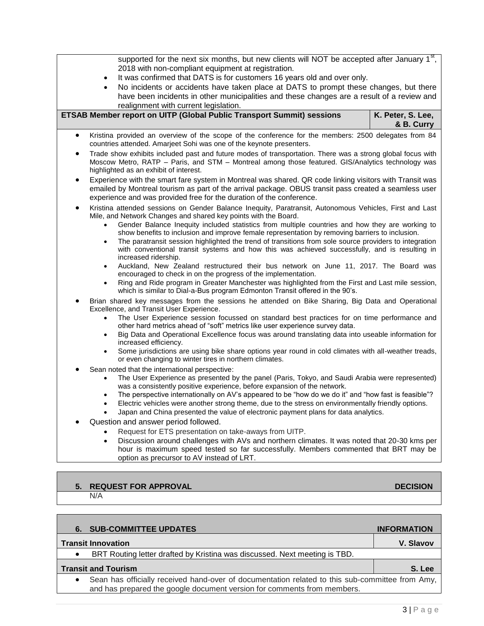supported for the next six months, but new clients will NOT be accepted after January  $1<sup>st</sup>$ , 2018 with non-compliant equipment at registration.

- It was confirmed that DATS is for customers 16 years old and over only.
- No incidents or accidents have taken place at DATS to prompt these changes, but there have been incidents in other municipalities and these changes are a result of a review and realignment with current legislation.

| <b>ETSAB Member report on UITP (Global Public Transport Summit) sessions</b> | K. Peter, S. Lee, |
|------------------------------------------------------------------------------|-------------------|
|                                                                              | & B. Curry        |

- Kristina provided an overview of the scope of the conference for the members: 2500 delegates from 84 countries attended. Amarjeet Sohi was one of the keynote presenters.
- Trade show exhibits included past and future modes of transportation. There was a strong global focus with Moscow Metro, RATP – Paris, and STM – Montreal among those featured. GIS/Analytics technology was highlighted as an exhibit of interest.
- Experience with the smart fare system in Montreal was shared. QR code linking visitors with Transit was emailed by Montreal tourism as part of the arrival package. OBUS transit pass created a seamless user experience and was provided free for the duration of the conference.
- Kristina attended sessions on Gender Balance Inequity, Paratransit, Autonomous Vehicles, First and Last Mile, and Network Changes and shared key points with the Board.
	- Gender Balance Inequity included statistics from multiple countries and how they are working to show benefits to inclusion and improve female representation by removing barriers to inclusion.
	- The paratransit session highlighted the trend of transitions from sole source providers to integration with conventional transit systems and how this was achieved successfully, and is resulting in increased ridership.
	- Auckland, New Zealand restructured their bus network on June 11, 2017. The Board was encouraged to check in on the progress of the implementation.
	- Ring and Ride program in Greater Manchester was highlighted from the First and Last mile session, which is similar to Dial-a-Bus program Edmonton Transit offered in the 90's.
- Brian shared key messages from the sessions he attended on Bike Sharing, Big Data and Operational Excellence, and Transit User Experience.
	- The User Experience session focussed on standard best practices for on time performance and other hard metrics ahead of "soft" metrics like user experience survey data.
	- Big Data and Operational Excellence focus was around translating data into useable information for increased efficiency.
	- Some jurisdictions are using bike share options year round in cold climates with all-weather treads, or even changing to winter tires in northern climates.
- Sean noted that the international perspective:
	- The User Experience as presented by the panel (Paris, Tokyo, and Saudi Arabia were represented) was a consistently positive experience, before expansion of the network.
	- The perspective internationally on AV's appeared to be "how do we do it" and "how fast is feasible"?
	- Electric vehicles were another strong theme, due to the stress on environmentally friendly options.
	- Japan and China presented the value of electronic payment plans for data analytics.
- Question and answer period followed.
	- Request for ETS presentation on take-aways from UITP.
	- Discussion around challenges with AVs and northern climates. It was noted that 20-30 kms per hour is maximum speed tested so far successfully. Members commented that BRT may be option as precursor to AV instead of LRT.

# **5.** REQUEST FOR APPROVAL **DECISION**

#### N/A

**6. SUB-COMMITTEE UPDATES INFORMATION Transit Innovation V. Slavov**  BRT Routing letter drafted by Kristina was discussed. Next meeting is TBD. **Transit and Tourism S. Lee** Sean has officially received hand-over of documentation related to this sub-committee from Amy, and has prepared the google document version for comments from members.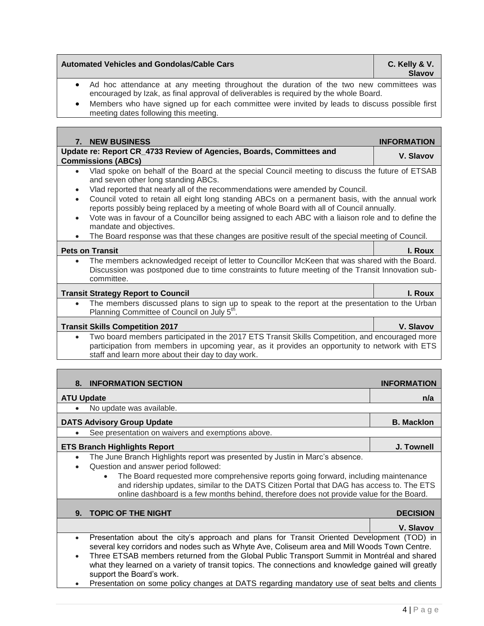# **Automated Vehicles and Gondolas/Cable Cars C. Kelly & V.**

**Slavov**

- Ad hoc attendance at any meeting throughout the duration of the two new committees was encouraged by Izak, as final approval of deliverables is required by the whole Board.
- Members who have signed up for each committee were invited by leads to discuss possible first meeting dates following this meeting.

| 7. NEW BUSINESS                                                                                                                                                                                                                 | <b>INFORMATION</b> |  |
|---------------------------------------------------------------------------------------------------------------------------------------------------------------------------------------------------------------------------------|--------------------|--|
| Update re: Report CR_4733 Review of Agencies, Boards, Committees and                                                                                                                                                            | V. Slavov          |  |
| <b>Commissions (ABCs)</b>                                                                                                                                                                                                       |                    |  |
| Vlad spoke on behalf of the Board at the special Council meeting to discuss the future of ETSAB<br>$\bullet$<br>and seven other long standing ABCs.                                                                             |                    |  |
| Vlad reported that nearly all of the recommendations were amended by Council.<br>$\bullet$                                                                                                                                      |                    |  |
| Council voted to retain all eight long standing ABCs on a permanent basis, with the annual work<br>$\bullet$<br>reports possibly being replaced by a meeting of whole Board with all of Council annually.                       |                    |  |
| Vote was in favour of a Councillor being assigned to each ABC with a liaison role and to define the<br>$\bullet$<br>mandate and objectives.                                                                                     |                    |  |
| The Board response was that these changes are positive result of the special meeting of Council.<br>$\bullet$                                                                                                                   |                    |  |
| <b>Pets on Transit</b>                                                                                                                                                                                                          | I. Roux            |  |
| The members acknowledged receipt of letter to Councillor McKeen that was shared with the Board.<br>$\bullet$<br>Discussion was postponed due to time constraints to future meeting of the Transit Innovation sub-<br>committee. |                    |  |
| <b>Transit Strategy Report to Council</b>                                                                                                                                                                                       | I. Roux            |  |
| The members discussed plans to sign up to speak to the report at the presentation to the Urban<br>$\bullet$<br>Planning Committee of Council on July 5 <sup>th</sup> .                                                          |                    |  |
| <b>Transit Skills Competition 2017</b>                                                                                                                                                                                          | V. Slavov          |  |
| Two board members participated in the 2017 ETS Transit Skills Competition, and encouraged more<br>$\bullet$                                                                                                                     |                    |  |
| participation from members in upcoming year, as it provides an opportunity to network with ETS                                                                                                                                  |                    |  |
| staff and learn more about their day to day work.                                                                                                                                                                               |                    |  |
|                                                                                                                                                                                                                                 |                    |  |
| <b>INFORMATION SECTION</b><br>8.                                                                                                                                                                                                | <b>INFORMATION</b> |  |
| <b>ATU Update</b>                                                                                                                                                                                                               | n/a                |  |
| No update was available.                                                                                                                                                                                                        |                    |  |
| <b>DATS Advisory Group Update</b>                                                                                                                                                                                               | <b>B. Macklon</b>  |  |
| See presentation on waivers and exemptions above.                                                                                                                                                                               |                    |  |
| <b>ETS Branch Highlights Report</b>                                                                                                                                                                                             | J. Townell         |  |
| The June Branch Highlights report was presented by Justin in Marc's absence.<br>$\bullet$                                                                                                                                       |                    |  |
| Question and answer period followed:<br>$\bullet$                                                                                                                                                                               |                    |  |
| The Board requested more comprehensive reports going forward, including maintenance                                                                                                                                             |                    |  |
| and ridership updates, similar to the DATS Citizen Portal that DAG has access to. The ETS<br>online dashboard is a few months behind, therefore does not provide value for the Board.                                           |                    |  |
|                                                                                                                                                                                                                                 |                    |  |
| <b>TOPIC OF THE NIGHT</b><br>9.                                                                                                                                                                                                 | <b>DECISION</b>    |  |
|                                                                                                                                                                                                                                 | V. Slavov          |  |
| Presentation about the city's approach and plans for Transit Oriented Development (TOD) in<br>$\bullet$                                                                                                                         |                    |  |
| several key corridors and nodes such as Whyte Ave, Coliseum area and Mill Woods Town Centre.                                                                                                                                    |                    |  |
| Three ETSAB members returned from the Global Public Transport Summit in Montréal and shared<br>what they learned on a variety of transit topics. The connections and knowledge gained will greatly<br>support the Board's work. |                    |  |

• Presentation on some policy changes at DATS regarding mandatory use of seat belts and clients

- 
- 
-